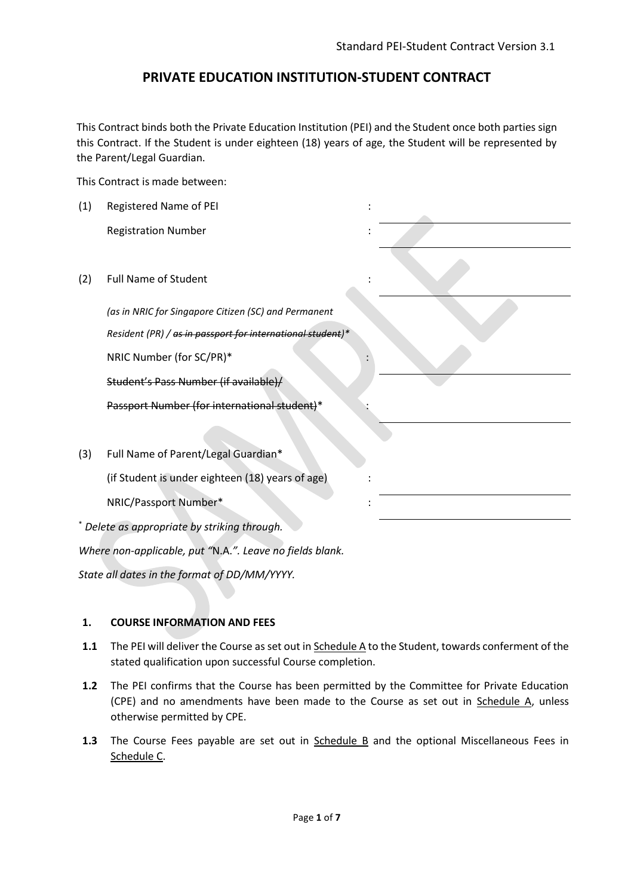# **PRIVATE EDUCATION INSTITUTION-STUDENT CONTRACT**

This Contract binds both the Private Education Institution (PEI) and the Student once both parties sign this Contract. If the Student is under eighteen (18) years of age, the Student will be represented by the Parent/Legal Guardian.

This Contract is made between:

| (1)                                                      | Registered Name of PEI                                     |  |  |  |
|----------------------------------------------------------|------------------------------------------------------------|--|--|--|
|                                                          | <b>Registration Number</b>                                 |  |  |  |
|                                                          |                                                            |  |  |  |
| (2)                                                      | <b>Full Name of Student</b>                                |  |  |  |
|                                                          | (as in NRIC for Singapore Citizen (SC) and Permanent       |  |  |  |
|                                                          | Resident (PR) / as in passport for international student)* |  |  |  |
|                                                          | NRIC Number (for SC/PR)*                                   |  |  |  |
|                                                          | Student's Pass Number (if available)/                      |  |  |  |
|                                                          | Passport Number (for international student)*               |  |  |  |
|                                                          |                                                            |  |  |  |
| (3)                                                      | Full Name of Parent/Legal Guardian*                        |  |  |  |
|                                                          | (if Student is under eighteen (18) years of age)           |  |  |  |
|                                                          | NRIC/Passport Number*                                      |  |  |  |
| Delete as appropriate by striking through.               |                                                            |  |  |  |
| Where non-applicable, put "N.A.". Leave no fields blank. |                                                            |  |  |  |

*State all dates in the format of DD/MM/YYYY.*

#### **1. COURSE INFORMATION AND FEES**

- **1.1** The PEI will deliver the Course as set out in Schedule A to the Student, towards conferment of the stated qualification upon successful Course completion.
- **1.2** The PEI confirms that the Course has been permitted by the Committee for Private Education (CPE) and no amendments have been made to the Course as set out in Schedule A, unless otherwise permitted by CPE.
- **1.3** The Course Fees payable are set out in Schedule B and the optional Miscellaneous Fees in Schedule C.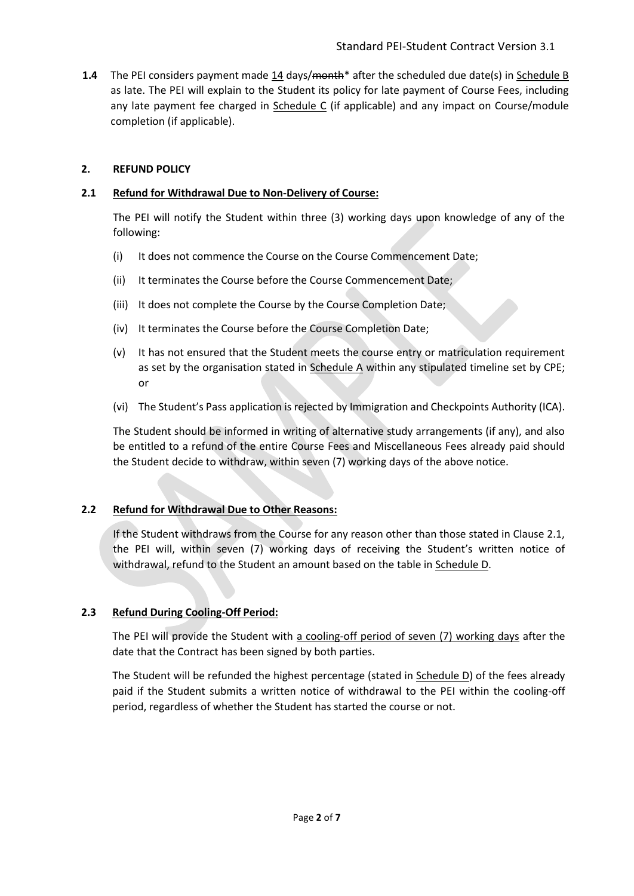**1.4** The PEI considers payment made 14 days/month<sup>\*</sup> after the scheduled due date(s) in Schedule B as late. The PEI will explain to the Student its policy for late payment of Course Fees, including any late payment fee charged in Schedule C (if applicable) and any impact on Course/module completion (if applicable).

# **2. REFUND POLICY**

### **2.1 Refund for Withdrawal Due to Non-Delivery of Course:**

The PEI will notify the Student within three (3) working days upon knowledge of any of the following:

- (i) It does not commence the Course on the Course Commencement Date;
- (ii) It terminates the Course before the Course Commencement Date;
- (iii) It does not complete the Course by the Course Completion Date;
- (iv) It terminates the Course before the Course Completion Date;
- (v) It has not ensured that the Student meets the course entry or matriculation requirement as set by the organisation stated in Schedule A within any stipulated timeline set by CPE; or
- (vi) The Student's Pass application is rejected by Immigration and Checkpoints Authority (ICA).

The Student should be informed in writing of alternative study arrangements (if any), and also be entitled to a refund of the entire Course Fees and Miscellaneous Fees already paid should the Student decide to withdraw, within seven (7) working days of the above notice.

# **2.2 Refund for Withdrawal Due to Other Reasons:**

If the Student withdraws from the Course for any reason other than those stated in Clause 2.1, the PEI will, within seven (7) working days of receiving the Student's written notice of withdrawal, refund to the Student an amount based on the table in Schedule D.

# **2.3 Refund During Cooling-Off Period:**

The PEI will provide the Student with a cooling-off period of seven (7) working days after the date that the Contract has been signed by both parties.

The Student will be refunded the highest percentage (stated in  $S$ chedule  $D$ ) of the fees already paid if the Student submits a written notice of withdrawal to the PEI within the cooling-off period, regardless of whether the Student has started the course or not.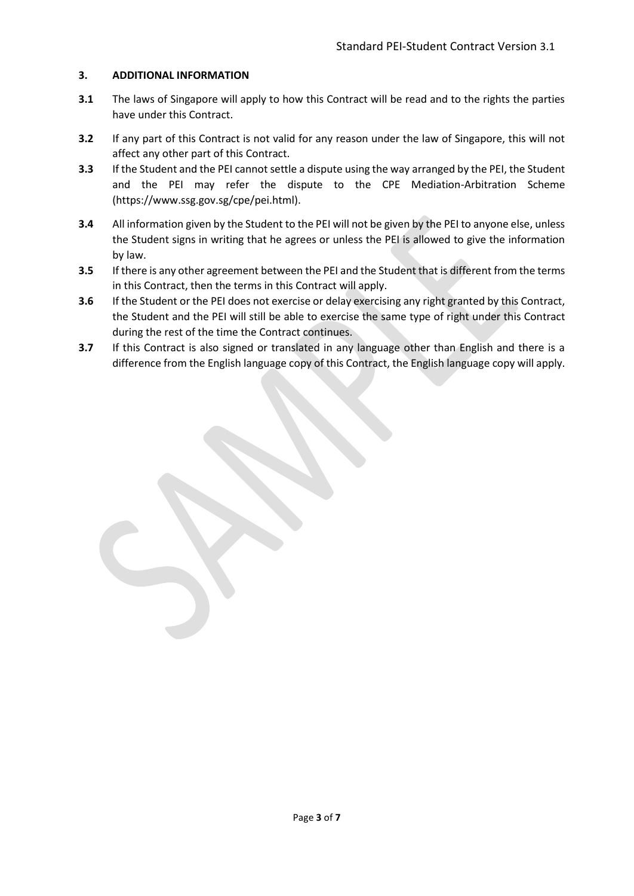### **3. ADDITIONAL INFORMATION**

- **3.1** The laws of Singapore will apply to how this Contract will be read and to the rights the parties have under this Contract.
- **3.2** If any part of this Contract is not valid for any reason under the law of Singapore, this will not affect any other part of this Contract.
- **3.3** If the Student and the PEI cannot settle a dispute using the way arranged by the PEI, the Student and the PEI may refer the dispute to the CPE Mediation-Arbitration Scheme (https://www.ssg.gov.sg/cpe/pei.html).
- **3.4** All information given by the Student to the PEI will not be given by the PEI to anyone else, unless the Student signs in writing that he agrees or unless the PEI is allowed to give the information by law.
- **3.5** If there is any other agreement between the PEI and the Student that is different from the terms in this Contract, then the terms in this Contract will apply.
- **3.6** If the Student or the PEI does not exercise or delay exercising any right granted by this Contract, the Student and the PEI will still be able to exercise the same type of right under this Contract during the rest of the time the Contract continues.
- **3.7** If this Contract is also signed or translated in any language other than English and there is a difference from the English language copy of this Contract, the English language copy will apply.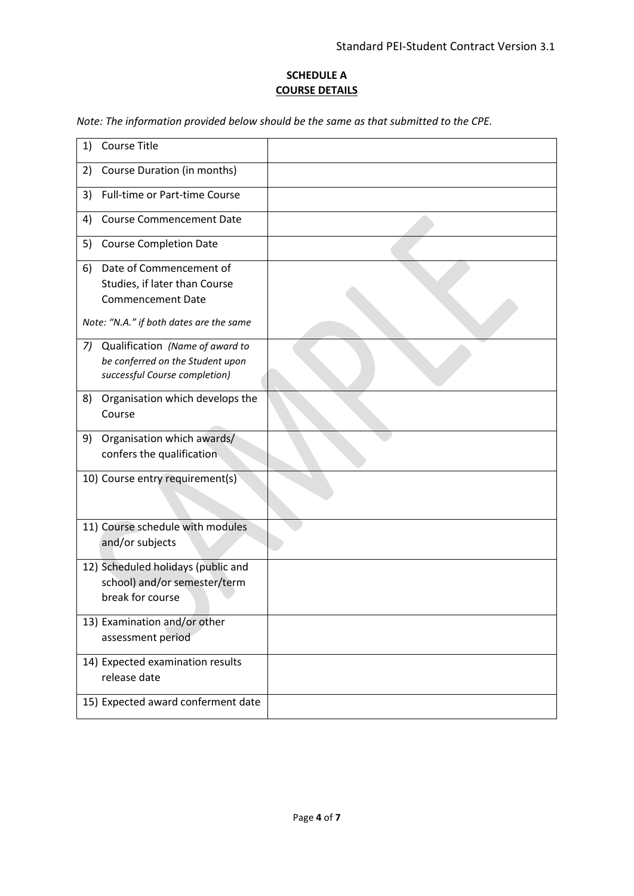# **SCHEDULE A COURSE DETAILS**

*Note: The information provided below should be the same as that submitted to the CPE.* 

| <b>Course Title</b><br>1)                                                                                  |  |
|------------------------------------------------------------------------------------------------------------|--|
| Course Duration (in months)<br>2)                                                                          |  |
| <b>Full-time or Part-time Course</b><br>3)                                                                 |  |
| <b>Course Commencement Date</b><br>4)                                                                      |  |
| 5)<br><b>Course Completion Date</b>                                                                        |  |
| Date of Commencement of<br>6)<br>Studies, if later than Course<br><b>Commencement Date</b>                 |  |
| Note: "N.A." if both dates are the same                                                                    |  |
| Qualification (Name of award to<br>7)<br>be conferred on the Student upon<br>successful Course completion) |  |
| Organisation which develops the<br>8)<br>Course                                                            |  |
| Organisation which awards/<br>9)<br>confers the qualification                                              |  |
| 10) Course entry requirement(s)                                                                            |  |
| 11) Course schedule with modules<br>and/or subjects                                                        |  |
| 12) Scheduled holidays (public and<br>school) and/or semester/term<br>break for course                     |  |
| 13) Examination and/or other<br>assessment period                                                          |  |
| 14) Expected examination results<br>release date                                                           |  |
| 15) Expected award conferment date                                                                         |  |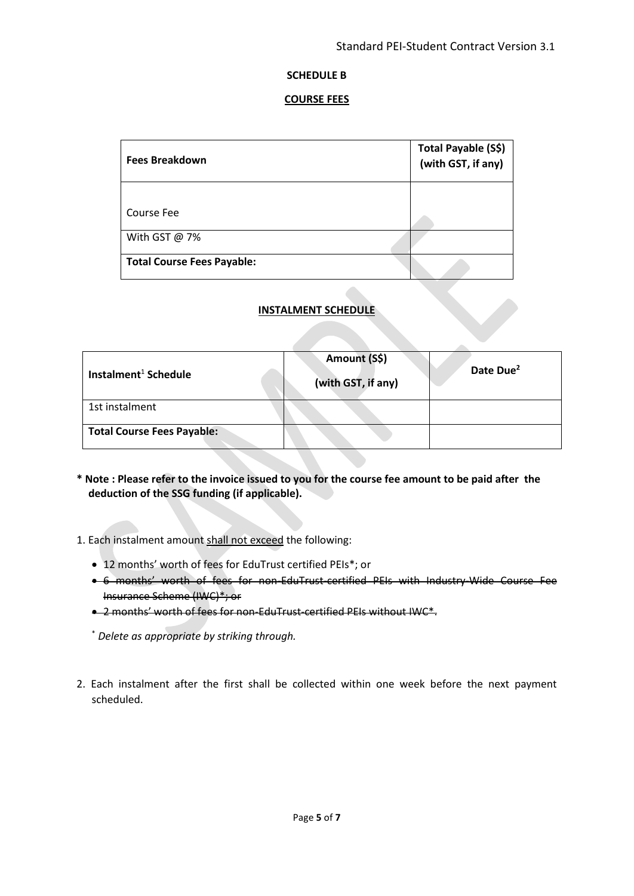#### **SCHEDULE B**

#### **COURSE FEES**

| Fees Breakdown                    | Total Payable (S\$)<br>(with GST, if any) |
|-----------------------------------|-------------------------------------------|
|                                   |                                           |
| Course Fee                        |                                           |
| With GST @ 7%                     |                                           |
| <b>Total Course Fees Payable:</b> |                                           |

#### **INSTALMENT SCHEDULE**

| Instalment <sup>1</sup> Schedule  | Amount (S\$)<br>(with GST, if any) | Date Due <sup>2</sup> |
|-----------------------------------|------------------------------------|-----------------------|
| 1st instalment                    |                                    |                       |
| <b>Total Course Fees Payable:</b> |                                    |                       |

- **\* Note : Please refer to the invoice issued to you for the course fee amount to be paid after the deduction of the SSG funding (if applicable).**
- 1. Each instalment amount shall not exceed the following:
	- 12 months' worth of fees for EduTrust certified PEIs\*; or
	- 6 months' worth of fees for non-EduTrust-certified PEIs with Industry-Wide Course Fee Insurance Scheme (IWC)\*; or
	- 2 months' worth of fees for non-EduTrust-certified PEIs without IWC\*.

\* *Delete as appropriate by striking through.*

2. Each instalment after the first shall be collected within one week before the next payment scheduled.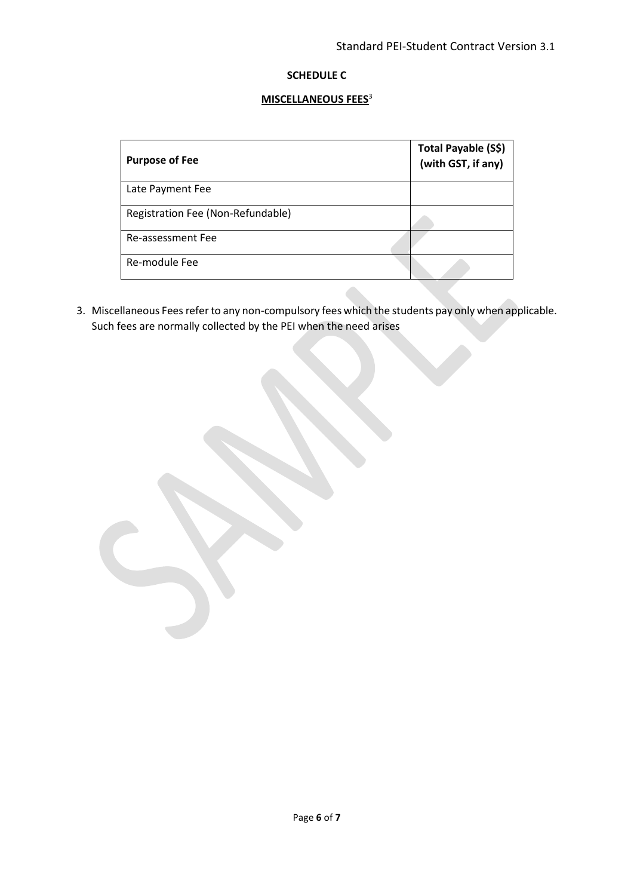# **SCHEDULE C**

## **MISCELLANEOUS FEES**<sup>3</sup>

| <b>Purpose of Fee</b>             | Total Payable (S\$)<br>(with GST, if any) |
|-----------------------------------|-------------------------------------------|
| Late Payment Fee                  |                                           |
| Registration Fee (Non-Refundable) |                                           |
| Re-assessment Fee                 |                                           |
| Re-module Fee                     |                                           |

3. Miscellaneous Fees refer to any non-compulsory fees which the students pay only when applicable. Such fees are normally collected by the PEI when the need arises